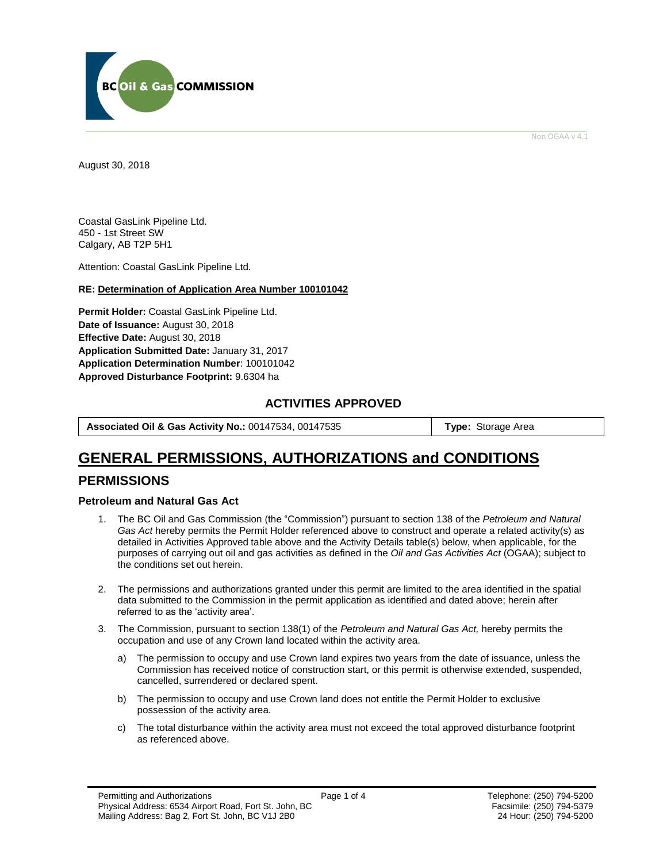

Non OGAA v 4.1

August 30, 2018

Coastal GasLink Pipeline Ltd. 450 - 1st Street SW Calgary, AB T2P 5H1

Attention: Coastal GasLink Pipeline Ltd.

#### **RE: Determination of Application Area Number 100101042**

**Permit Holder:** Coastal GasLink Pipeline Ltd. **Date of Issuance:** August 30, 2018 **Effective Date:** August 30, 2018 **Application Submitted Date:** January 31, 2017 **Application Determination Number**: 100101042 **Approved Disturbance Footprint:** 9.6304 ha

### **ACTIVITIES APPROVED**

**Associated Oil & Gas Activity No.:** 00147534, 00147535 **Type:** Storage Area

# **GENERAL PERMISSIONS, AUTHORIZATIONS and CONDITIONS**

### **PERMISSIONS**

### **Petroleum and Natural Gas Act**

- 1. The BC Oil and Gas Commission (the "Commission") pursuant to section 138 of the *Petroleum and Natural Gas Act* hereby permits the Permit Holder referenced above to construct and operate a related activity(s) as detailed in Activities Approved table above and the Activity Details table(s) below, when applicable, for the purposes of carrying out oil and gas activities as defined in the *Oil and Gas Activities Act* (OGAA); subject to the conditions set out herein.
- 2. The permissions and authorizations granted under this permit are limited to the area identified in the spatial data submitted to the Commission in the permit application as identified and dated above; herein after referred to as the 'activity area'.
- 3. The Commission, pursuant to section 138(1) of the *Petroleum and Natural Gas Act,* hereby permits the occupation and use of any Crown land located within the activity area.
	- a) The permission to occupy and use Crown land expires two years from the date of issuance, unless the Commission has received notice of construction start, or this permit is otherwise extended, suspended, cancelled, surrendered or declared spent.
	- b) The permission to occupy and use Crown land does not entitle the Permit Holder to exclusive possession of the activity area.
	- c) The total disturbance within the activity area must not exceed the total approved disturbance footprint as referenced above.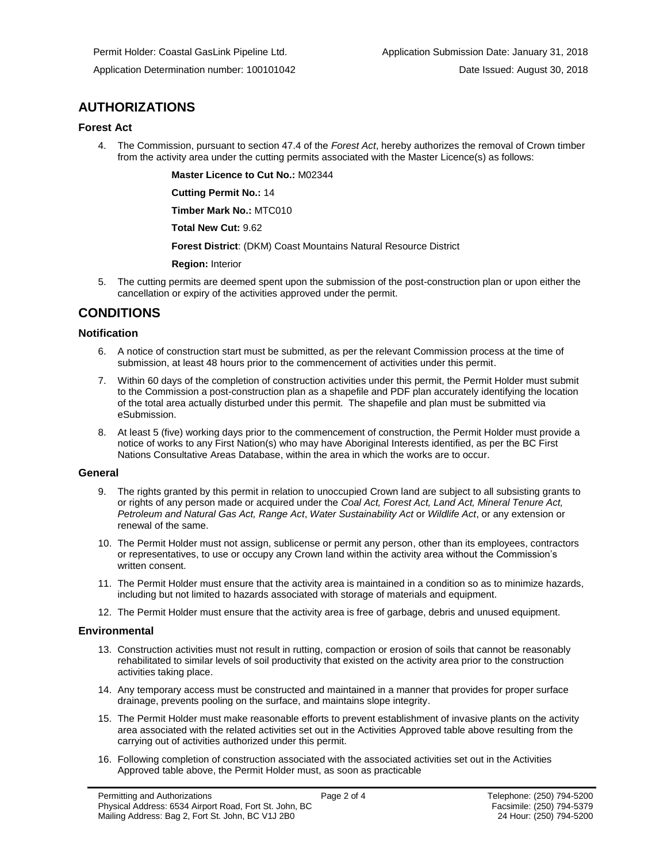### **AUTHORIZATIONS**

### **Forest Act**

4. The Commission, pursuant to section 47.4 of the *Forest Act*, hereby authorizes the removal of Crown timber from the activity area under the cutting permits associated with the Master Licence(s) as follows:

**Master Licence to Cut No.:** M02344

**Cutting Permit No.:** 14

**Timber Mark No.:** MTC010

**Total New Cut:** 9.62

**Forest District**: (DKM) Coast Mountains Natural Resource District

**Region:** Interior

5. The cutting permits are deemed spent upon the submission of the post-construction plan or upon either the cancellation or expiry of the activities approved under the permit.

### **CONDITIONS**

### **Notification**

- 6. A notice of construction start must be submitted, as per the relevant Commission process at the time of submission, at least 48 hours prior to the commencement of activities under this permit.
- 7. Within 60 days of the completion of construction activities under this permit, the Permit Holder must submit to the Commission a post-construction plan as a shapefile and PDF plan accurately identifying the location of the total area actually disturbed under this permit. The shapefile and plan must be submitted via eSubmission.
- 8. At least 5 (five) working days prior to the commencement of construction, the Permit Holder must provide a notice of works to any First Nation(s) who may have Aboriginal Interests identified, as per the BC First Nations Consultative Areas Database, within the area in which the works are to occur.

### **General**

- 9. The rights granted by this permit in relation to unoccupied Crown land are subject to all subsisting grants to or rights of any person made or acquired under the *Coal Act, Forest Act, Land Act, Mineral Tenure Act, Petroleum and Natural Gas Act, Range Act*, *Water Sustainability Act* or *Wildlife Act*, or any extension or renewal of the same.
- 10. The Permit Holder must not assign, sublicense or permit any person, other than its employees, contractors or representatives, to use or occupy any Crown land within the activity area without the Commission's written consent.
- 11. The Permit Holder must ensure that the activity area is maintained in a condition so as to minimize hazards, including but not limited to hazards associated with storage of materials and equipment.
- 12. The Permit Holder must ensure that the activity area is free of garbage, debris and unused equipment.

### **Environmental**

- 13. Construction activities must not result in rutting, compaction or erosion of soils that cannot be reasonably rehabilitated to similar levels of soil productivity that existed on the activity area prior to the construction activities taking place.
- 14. Any temporary access must be constructed and maintained in a manner that provides for proper surface drainage, prevents pooling on the surface, and maintains slope integrity.
- 15. The Permit Holder must make reasonable efforts to prevent establishment of invasive plants on the activity area associated with the related activities set out in the Activities Approved table above resulting from the carrying out of activities authorized under this permit.
- 16. Following completion of construction associated with the associated activities set out in the Activities Approved table above, the Permit Holder must, as soon as practicable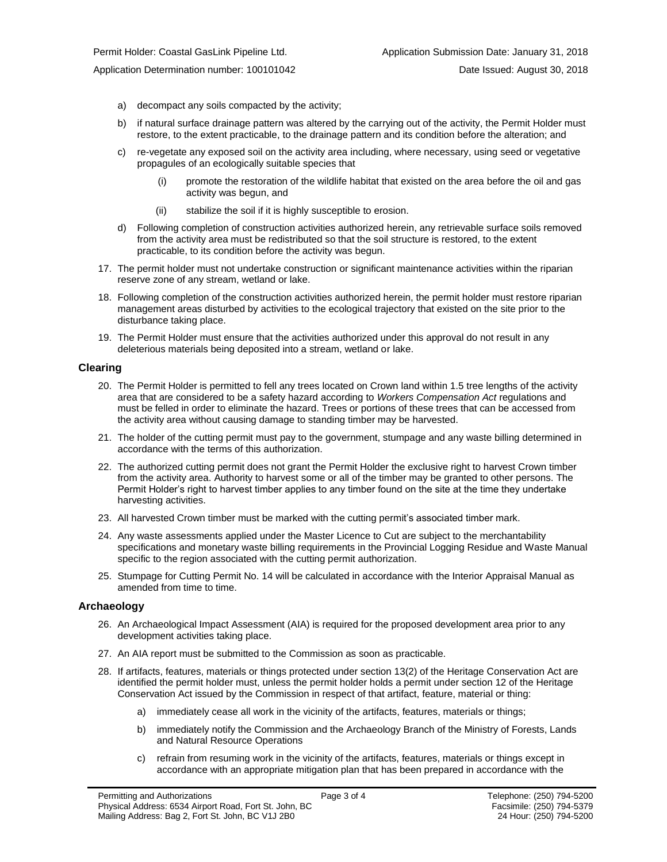Application Determination number: 100101042 Date Issued: August 30, 2018

- a) decompact any soils compacted by the activity;
- b) if natural surface drainage pattern was altered by the carrying out of the activity, the Permit Holder must restore, to the extent practicable, to the drainage pattern and its condition before the alteration; and
- c) re-vegetate any exposed soil on the activity area including, where necessary, using seed or vegetative propagules of an ecologically suitable species that
	- (i) promote the restoration of the wildlife habitat that existed on the area before the oil and gas activity was begun, and
	- (ii) stabilize the soil if it is highly susceptible to erosion.
- d) Following completion of construction activities authorized herein, any retrievable surface soils removed from the activity area must be redistributed so that the soil structure is restored, to the extent practicable, to its condition before the activity was begun.
- 17. The permit holder must not undertake construction or significant maintenance activities within the riparian reserve zone of any stream, wetland or lake.
- 18. Following completion of the construction activities authorized herein, the permit holder must restore riparian management areas disturbed by activities to the ecological trajectory that existed on the site prior to the disturbance taking place.
- 19. The Permit Holder must ensure that the activities authorized under this approval do not result in any deleterious materials being deposited into a stream, wetland or lake.

### **Clearing**

- 20. The Permit Holder is permitted to fell any trees located on Crown land within 1.5 tree lengths of the activity area that are considered to be a safety hazard according to *Workers Compensation Act* regulations and must be felled in order to eliminate the hazard. Trees or portions of these trees that can be accessed from the activity area without causing damage to standing timber may be harvested.
- 21. The holder of the cutting permit must pay to the government, stumpage and any waste billing determined in accordance with the terms of this authorization.
- 22. The authorized cutting permit does not grant the Permit Holder the exclusive right to harvest Crown timber from the activity area. Authority to harvest some or all of the timber may be granted to other persons. The Permit Holder's right to harvest timber applies to any timber found on the site at the time they undertake harvesting activities.
- 23. All harvested Crown timber must be marked with the cutting permit's associated timber mark.
- 24. Any waste assessments applied under the Master Licence to Cut are subject to the merchantability specifications and monetary waste billing requirements in the Provincial Logging Residue and Waste Manual specific to the region associated with the cutting permit authorization.
- 25. Stumpage for Cutting Permit No. 14 will be calculated in accordance with the Interior Appraisal Manual as amended from time to time.

### **Archaeology**

- 26. An Archaeological Impact Assessment (AIA) is required for the proposed development area prior to any development activities taking place.
- 27. An AIA report must be submitted to the Commission as soon as practicable.
- 28. If artifacts, features, materials or things protected under section 13(2) of the Heritage Conservation Act are identified the permit holder must, unless the permit holder holds a permit under section 12 of the Heritage Conservation Act issued by the Commission in respect of that artifact, feature, material or thing:
	- a) immediately cease all work in the vicinity of the artifacts, features, materials or things;
	- b) immediately notify the Commission and the Archaeology Branch of the Ministry of Forests, Lands and Natural Resource Operations
	- c) refrain from resuming work in the vicinity of the artifacts, features, materials or things except in accordance with an appropriate mitigation plan that has been prepared in accordance with the